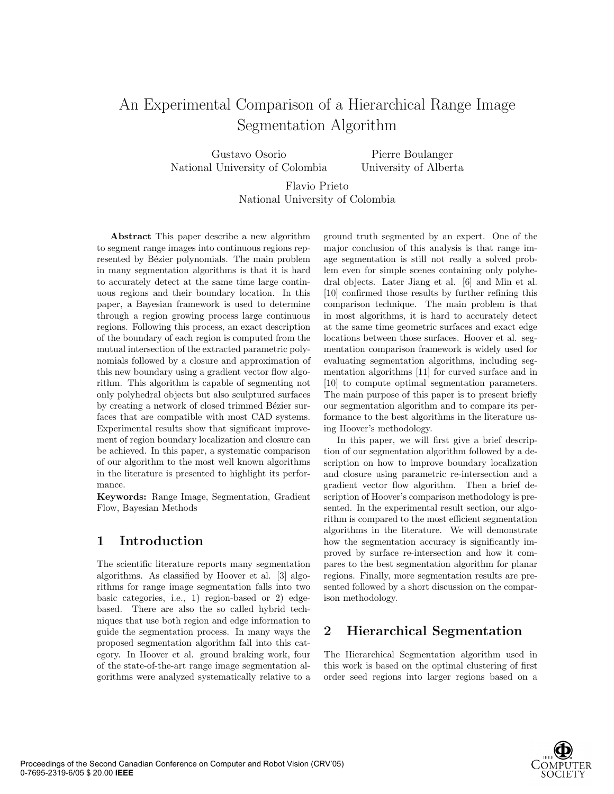# An Experimental Comparison of a Hierarchical Range Image<br>Segmentation Algorithm segmentation algorithm

Gustavo Osorio National University of Colombia National University of Colombia Pierre Boulanger<br>University of Alberta University of Alberta

National University of Colombia National University of Colombia

**Abstract** This paper describe a new algorithm to segment range images into continuous regions represented by Bézier polynomials. The main problem in many segmentation algorithms is that it is hard to accurately detect at the same time large continuous regions and their boundary location. In this paper, a Bayesian framework is used to determine through a region growing process large continuous regions. Following this process, an exact description of the boundary of each region is computed from the mutual intersection of the extracted parametric polynomials followed by a closure and approximation of this new boundary using a gradient vector flow algorithm. This algorithm is capable of segmenting not only polyhedral objects but also sculptured surfaces by creating a network of closed trimmed Bézier surfaces that are compatible with most CAD systems. Experimental results show that significant improvement of region boundary localization and closure can be achieved. In this paper, a systematic comparison of our algorithm to the most well known algorithms in the literature is presented to highlight its performance.

**Keywords:** Range Image, Segmentation, Gradient Flow, Bayesian Methods

## **1 Introduction**

The scientific literature reports many segmentation algorithms. As classified by Hoover et al. [3] algorithms for range image segmentation falls into two basic categories, i.e., 1) region-based or 2) edgebased. There are also the so called hybrid techniques that use both region and edge information to guide the segmentation process. In many ways the proposed segmentation algorithm fall into this category. In Hoover et al. ground braking work, four of the state-of-the-art range image segmentation algorithms were analyzed systematically relative to a ground truth segmented by an expert. One of the major conclusion of this analysis is that range image segmentation is still not really a solved problem even for simple scenes containing only polyhedral objects. Later Jiang et al. [6] and Min et al. [10] confirmed those results by further refining this comparison technique. The main problem is that in most algorithms, it is hard to accurately detect at the same time geometric surfaces and exact edge locations between those surfaces. Hoover et al. segmentation comparison framework is widely used for evaluating segmentation algorithms, including segmentation algorithms [11] for curved surface and in [10] to compute optimal segmentation parameters. The main purpose of this paper is to present briefly our segmentation algorithm and to compare its performance to the best algorithms in the literature using Hoover's methodology.

In this paper, we will first give a brief description of our segmentation algorithm followed by a description on how to improve boundary localization and closure using parametric re-intersection and a gradient vector flow algorithm. Then a brief description of Hoover's comparison methodology is presented. In the experimental result section, our algorithm is compared to the most efficient segmentation algorithms in the literature. We will demonstrate how the segmentation accuracy is significantly improved by surface re-intersection and how it compares to the best segmentation algorithm for planar regions. Finally, more segmentation results are presented followed by a short discussion on the comparison methodology.

# **2 Hierarchical Segmentation**

The Hierarchical Segmentation algorithm used in this work is based on the optimal clustering of first order seed regions into larger regions based on a

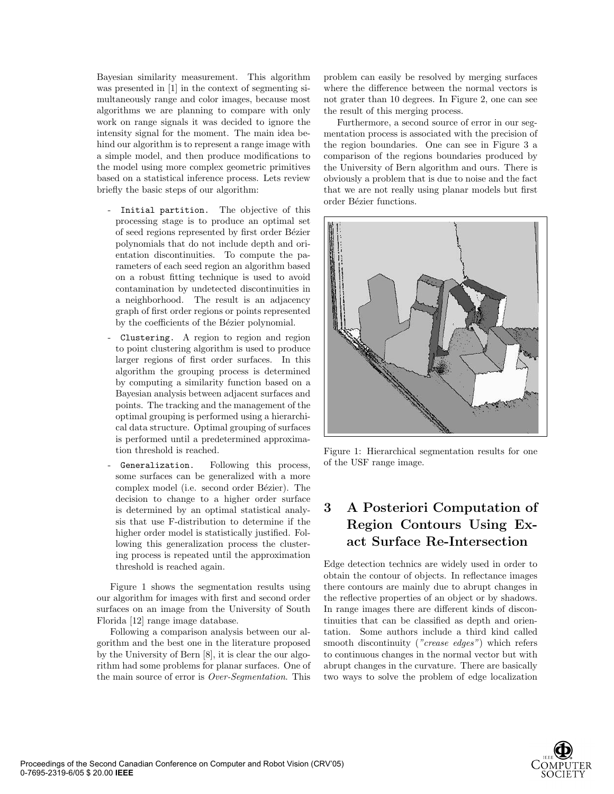Bayesian similarity measurement. This algorithm was presented in [1] in the context of segmenting simultaneously range and color images, because most algorithms we are planning to compare with only work on range signals it was decided to ignore the intensity signal for the moment. The main idea behind our algorithm is to represent a range image with a simple model, and then produce modifications to the model using more complex geometric primitives based on a statistical inference process. Lets review briefly the basic steps of our algorithm:

- Initial partition. The objective of this processing stage is to produce an optimal set of seed regions represented by first order Bézier polynomials that do not include depth and orientation discontinuities. To compute the parameters of each seed region an algorithm based on a robust fitting technique is used to avoid contamination by undetected discontinuities in a neighborhood. The result is an adjacency graph of first order regions or points represented by the coefficients of the Bézier polynomial.
- Clustering. A region to region and region to point clustering algorithm is used to produce larger regions of first order surfaces. In this algorithm the grouping process is determined by computing a similarity function based on a Bayesian analysis between adjacent surfaces and points. The tracking and the management of the optimal grouping is performed using a hierarchical data structure. Optimal grouping of surfaces is performed until a predetermined approximation threshold is reached.
- Generalization. Following this process, some surfaces can be generalized with a more complex model (i.e. second order Bézier). The decision to change to a higher order surface is determined by an optimal statistical analysis that use F-distribution to determine if the higher order model is statistically justified. Following this generalization process the clustering process is repeated until the approximation threshold is reached again.

Figure 1 shows the segmentation results using our algorithm for images with first and second order surfaces on an image from the University of South Florida [12] range image database.

Following a comparison analysis between our algorithm and the best one in the literature proposed by the University of Bern [8], it is clear the our algorithm had some problems for planar surfaces. One of the main source of error is Over-Segmentation. This problem can easily be resolved by merging surfaces where the difference between the normal vectors is not grater than 10 degrees. In Figure 2, one can see the result of this merging process.

Furthermore, a second source of error in our segmentation process is associated with the precision of the region boundaries. One can see in Figure 3 a comparison of the regions boundaries produced by the University of Bern algorithm and ours. There is obviously a problem that is due to noise and the fact that we are not really using planar models but first order Bézier functions.



Figure 1: Hierarchical segmentation results for one of the USF range image.

# **3 A Posteriori Computation of Region Contours Using Exact Surface Re-Intersection**

Edge detection technics are widely used in order to obtain the contour of objects. In reflectance images there contours are mainly due to abrupt changes in the reflective properties of an object or by shadows. In range images there are different kinds of discontinuities that can be classified as depth and orientation. Some authors include a third kind called smooth discontinuity ("crease edges") which refers to continuous changes in the normal vector but with abrupt changes in the curvature. There are basically two ways to solve the problem of edge localization

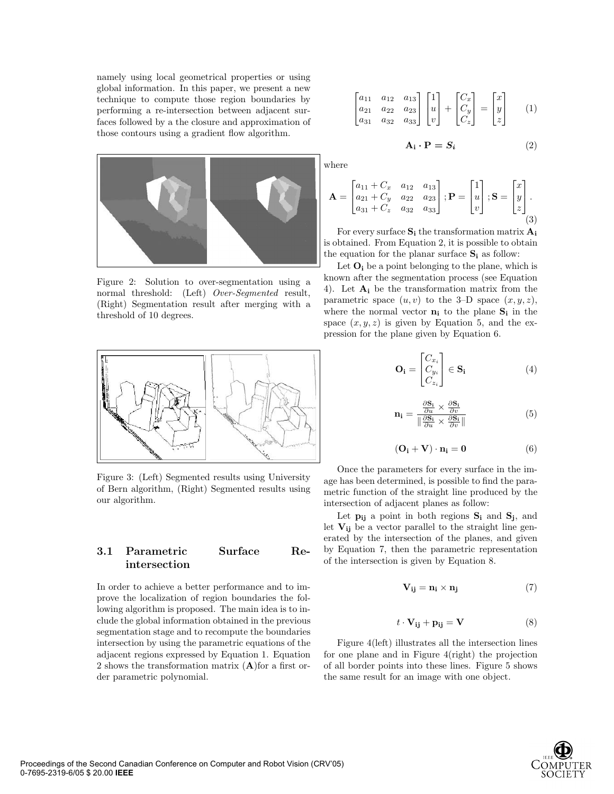namely using local geometrical properties or using global information. In this paper, we present a new technique to compute those region boundaries by performing a re-intersection between adjacent surfaces followed by a the closure and approximation of those contours using a gradient flow algorithm.



Figure 2: Solution to over-segmentation using a normal threshold: (Left) Over-Segmented result, (Right) Segmentation result after merging with a threshold of 10 degrees.



Figure 3: (Left) Segmented results using University of Bern algorithm, (Right) Segmented results using our algorithm.

#### **3.1 Parametric Surface Reintersection**

In order to achieve a better performance and to improve the localization of region boundaries the following algorithm is proposed. The main idea is to include the global information obtained in the previous segmentation stage and to recompute the boundaries intersection by using the parametric equations of the adjacent regions expressed by Equation 1. Equation 2 shows the transformation matrix (**A**)for a first order parametric polynomial.

$$
\begin{bmatrix} a_{11} & a_{12} & a_{13} \ a_{21} & a_{22} & a_{23} \ a_{31} & a_{32} & a_{33} \end{bmatrix} \begin{bmatrix} 1 \ u \ v \end{bmatrix} + \begin{bmatrix} C_x \\ C_y \\ C_z \end{bmatrix} = \begin{bmatrix} x \ y \ z \end{bmatrix}
$$
 (1)

$$
\mathbf{A_i} \cdot \mathbf{P} = S_i \tag{2}
$$

where

$$
\mathbf{A} = \begin{bmatrix} a_{11} + C_x & a_{12} & a_{13} \\ a_{21} + C_y & a_{22} & a_{23} \\ a_{31} + C_z & a_{32} & a_{33} \end{bmatrix}; \mathbf{P} = \begin{bmatrix} 1 \\ u \\ v \end{bmatrix}; \mathbf{S} = \begin{bmatrix} x \\ y \\ z \end{bmatrix}.
$$
\n(3)

For every surface **S<sup>i</sup>** the transformation matrix **A<sup>i</sup>** is obtained. From Equation 2, it is possible to obtain the equation for the planar surface  $S_i$  as follow:

Let  $O_i$  be a point belonging to the plane, which is known after the segmentation process (see Equation 4). Let **A<sup>i</sup>** be the transformation matrix from the parametric space  $(u, v)$  to the 3-D space  $(x, y, z)$ , where the normal vector  $n_i$  to the plane  $S_i$  in the space  $(x, y, z)$  is given by Equation 5, and the expression for the plane given by Equation 6.

$$
\mathbf{O_i} = \begin{bmatrix} C_{x_i} \\ C_{y_i} \\ C_{z_i} \end{bmatrix} \in \mathbf{S_i} \tag{4}
$$

$$
\mathbf{n_i} = \frac{\frac{\partial \mathbf{S_i}}{\partial u} \times \frac{\partial \mathbf{S_i}}{\partial v}}{\|\frac{\partial \mathbf{S_i}}{\partial u} \times \frac{\partial \mathbf{S_i}}{\partial v}\|}\tag{5}
$$

$$
(\mathbf{O_i} + \mathbf{V}) \cdot \mathbf{n_i} = \mathbf{0} \tag{6}
$$

Once the parameters for every surface in the image has been determined, is possible to find the parametric function of the straight line produced by the intersection of adjacent planes as follow:

Let  $\mathbf{p}_{ij}$  a point in both regions  $\mathbf{S}_i$  and  $\mathbf{S}_j$ , and let **Vij** be a vector parallel to the straight line generated by the intersection of the planes, and given by Equation 7, then the parametric representation of the intersection is given by Equation 8.

$$
V_{ij} = n_i \times n_j \tag{7}
$$

$$
t \cdot \mathbf{V_{ij}} + \mathbf{p_{ij}} = \mathbf{V} \tag{8}
$$

Figure 4(left) illustrates all the intersection lines for one plane and in Figure 4(right) the projection of all border points into these lines. Figure 5 shows the same result for an image with one object.

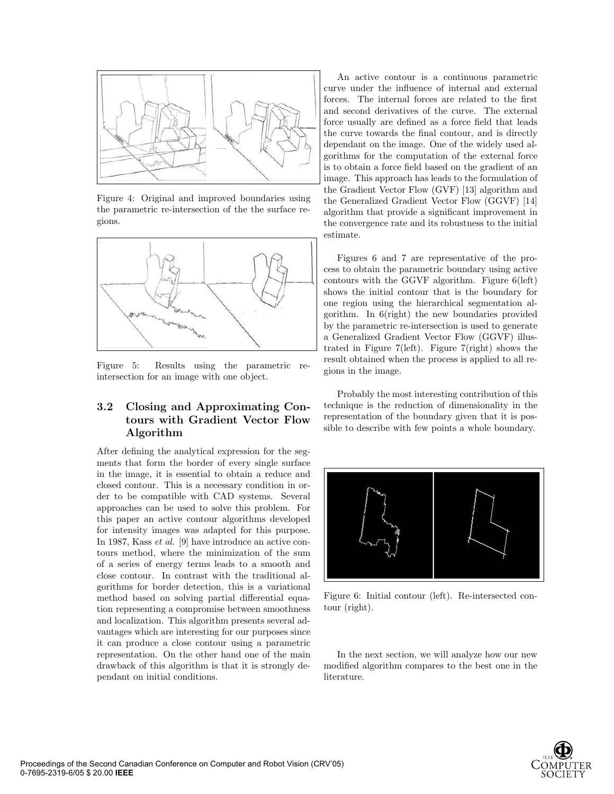

Figure 4: Original and improved boundaries using the parametric re-intersection of the the surface regions.



Figure 5: Results using the parametric reintersection for an image with one object.

#### **3.2 Closing and Approximating Contours with Gradient Vector Flow Algorithm**

After defining the analytical expression for the segments that form the border of every single surface in the image, it is essential to obtain a reduce and closed contour. This is a necessary condition in order to be compatible with CAD systems. Several approaches can be used to solve this problem. For this paper an active contour algorithms developed for intensity images was adapted for this purpose. In 1987, Kass et al. [9] have introduce an active contours method, where the minimization of the sum of a series of energy terms leads to a smooth and close contour. In contrast with the traditional algorithms for border detection, this is a variational method based on solving partial differential equation representing a compromise between smoothness and localization. This algorithm presents several advantages which are interesting for our purposes since it can produce a close contour using a parametric representation. On the other hand one of the main drawback of this algorithm is that it is strongly dependant on initial conditions.

An active contour is a continuous parametric curve under the influence of internal and external forces. The internal forces are related to the first and second derivatives of the curve. The external force usually are defined as a force field that leads the curve towards the final contour, and is directly dependant on the image. One of the widely used algorithms for the computation of the external force is to obtain a force field based on the gradient of an image. This approach has leads to the formulation of the Gradient Vector Flow (GVF) [13] algorithm and the Generalized Gradient Vector Flow (GGVF) [14] algorithm that provide a significant improvement in the convergence rate and its robustness to the initial estimate.

Figures 6 and 7 are representative of the process to obtain the parametric boundary using active contours with the GGVF algorithm. Figure 6(left) shows the initial contour that is the boundary for one region using the hierarchical segmentation algorithm. In 6(right) the new boundaries provided by the parametric re-intersection is used to generate a Generalized Gradient Vector Flow (GGVF) illustrated in Figure 7(left). Figure 7(right) shows the result obtained when the process is applied to all regions in the image.

Probably the most interesting contribution of this technique is the reduction of dimensionality in the representation of the boundary given that it is possible to describe with few points a whole boundary.



Figure 6: Initial contour (left). Re-intersected contour (right).

In the next section, we will analyze how our new modified algorithm compares to the best one in the literature.

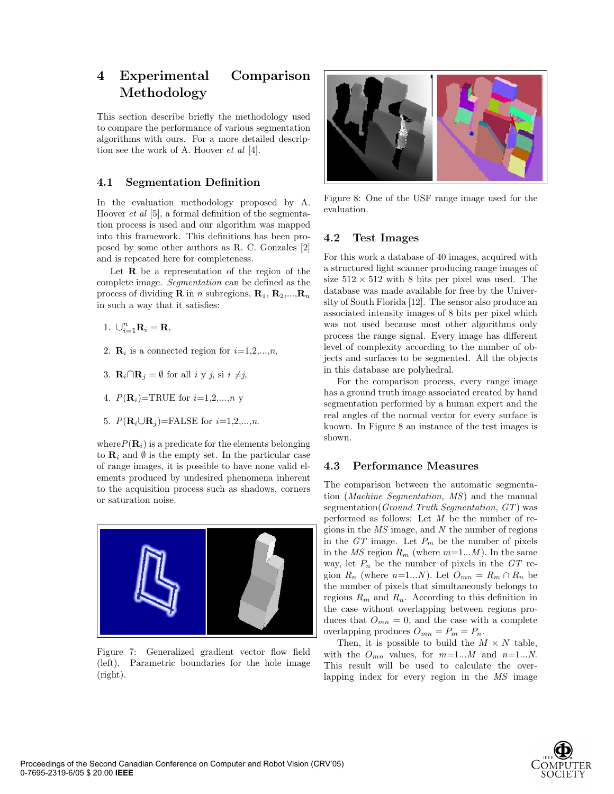# **4 Experimental Comparison Methodology**

This section describe briefly the methodology used to compare the performance of various segmentation algorithms with ours. For a more detailed description see the work of A. Hoover et al [4].

#### **4.1 Segmentation Definition**

In the evaluation methodology proposed by A. Hoover  $et \ al \ [5]$ , a formal definition of the segmentation process is used and our algorithm was mapped into this framework. This definitions has been proposed by some other authors as R. C. Gonzales [2] and is repeated here for completeness.

Let **R** be a representation of the region of the complete image. Segmentation can be defined as the process of dividing **R** in n subregions,  $\mathbf{R}_1$ ,  $\mathbf{R}_2$ ,..., $\mathbf{R}_n$ in such a way that it satisfies:

1.  $\bigcup_{i=1}^n \mathbf{R}_i = \mathbf{R}$ ,

- 2.  $\mathbf{R}_i$  is a connected region for  $i=1,2,...,n$ ,
- 3.  $\mathbf{R}_i \cap \mathbf{R}_j = \emptyset$  for all i y j, si i  $\neq j$ ,
- 4.  $P(\mathbf{R}_i)$ =TRUE for  $i=1,2,...,n$  y
- 5.  $P(\mathbf{R}_i \cup \mathbf{R}_i) = \text{FALSE for } i = 1, 2, \ldots, n.$

where  $P(\mathbf{R}_i)$  is a predicate for the elements belonging to  $\mathbf{R}_i$  and  $\emptyset$  is the empty set. In the particular case of range images, it is possible to have none valid elements produced by undesired phenomena inherent to the acquisition process such as shadows, corners or saturation noise.



Figure 7: Generalized gradient vector flow field (left). Parametric boundaries for the hole image (right).



Figure 8: One of the USF range image used for the evaluation.

#### **4.2 Test Images**

For this work a database of 40 images, acquired with a structured light scanner producing range images of size  $512 \times 512$  with 8 bits per pixel was used. The database was made available for free by the University of South Florida [12]. The sensor also produce an associated intensity images of 8 bits per pixel which was not used because most other algorithms only process the range signal. Every image has different level of complexity according to the number of objects and surfaces to be segmented. All the objects in this database are polyhedral.

For the comparison process, every range image has a ground truth image associated created by hand segmentation performed by a human expert and the real angles of the normal vector for every surface is known. In Figure 8 an instance of the test images is shown.

#### **4.3 Performance Measures**

The comparison between the automatic segmentation (Machine Segmentation, MS) and the manual segmentation(Ground Truth Segmentation, GT) was performed as follows: Let M be the number of regions in the  $\overline{MS}$  image, and  $\overline{N}$  the number of regions in the  $GT$  image. Let  $P_m$  be the number of pixels in the MS region  $R_m$  (where  $m=1...M$ ). In the same way, let  $P_n$  be the number of pixels in the  $GT$  region  $R_n$  (where  $n=1...N$ ). Let  $O_{mn} = R_m \cap R_n$  be the number of pixels that simultaneously belongs to regions  $R_m$  and  $R_n$ . According to this definition in the case without overlapping between regions produces that  $O_{mn} = 0$ , and the case with a complete overlapping produces  $O_{mn} = P_m = P_n$ .

Then, it is possible to build the  $M \times N$  table, with the  $O_{mn}$  values, for  $m=1...M$  and  $n=1...N$ . This result will be used to calculate the overlapping index for every region in the MS image

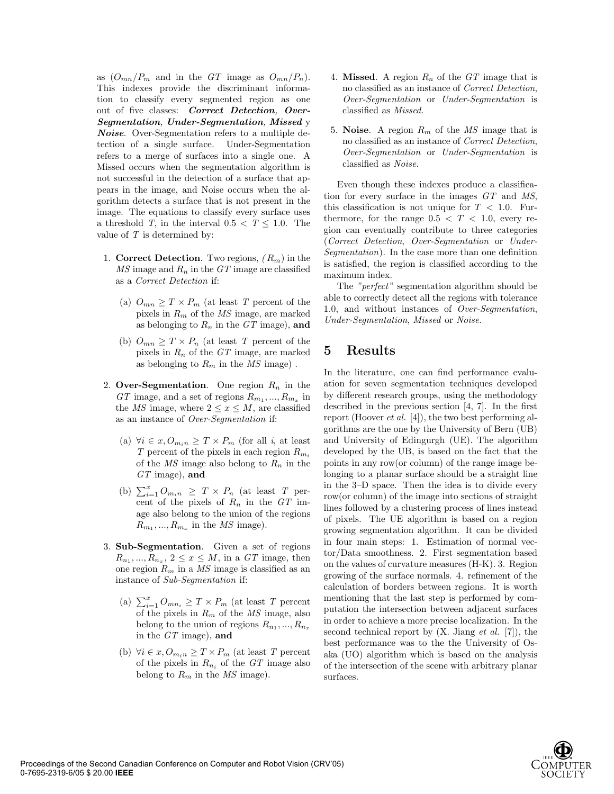as  $(O_{mn}/P_m$  and in the GT image as  $O_{mn}/P_n$ ). This indexes provide the discriminant information to classify every segmented region as one out of five classes: *Correct Detection*, *Over-Segmentation*, *Under-Segmentation*, *Missed* y *Noise*. Over-Segmentation refers to a multiple detection of a single surface. Under-Segmentation refers to a merge of surfaces into a single one. A Missed occurs when the segmentation algorithm is not successful in the detection of a surface that appears in the image, and Noise occurs when the algorithm detects a surface that is not present in the image. The equations to classify every surface uses a threshold T, in the interval  $0.5 < T < 1.0$ . The value of  $T$  is determined by:

- 1. **Correct Detection**. Two regions,  $(R_m)$  in the  $MS$  image and  $R_n$  in the GT image are classified as a Correct Detection if:
	- (a)  $O_{mn} \geq T \times P_m$  (at least T percent of the pixels in  $R_m$  of the  $\overline{MS}$  image, are marked as belonging to  $R_n$  in the  $GT$  image), and
	- (b)  $O_{mn} \geq T \times P_n$  (at least T percent of the pixels in  $R_n$  of the  $GT$  image, are marked as belonging to  $R_m$  in the  $MS$  image).
- 2. **Over-Segmentation**. One region  $R_n$  in the  $GT$  image, and a set of regions  $R_{m_1},...,R_{m_x}$  in the MS image, where  $2 \le x \le M$ , are classified as an instance of Over-Segmentation if:
	- (a)  $\forall i \in \mathcal{X}, O_{m_i n} \geq T \times P_m$  (for all *i*, at least T percent of the pixels in each region  $R_{m_i}$ of the  $MS$  image also belong to  $R_n$  in the GT image), **and**
	- (b)  $\sum_{i=1}^{x} O_{m_i n} \geq T \times P_n$  (at least T percent of the pixels of  $R_n$  in the  $GT$  image also belong to the union of the regions  $R_{m_1},..., R_{m_x}$  in the MS image).
- 3. **Sub-Segmentation**. Given a set of regions  $R_{n_1},..., R_{n_x}, 2 \leq x \leq M$ , in a GT image, then one region  $R_m$  in a  $MS$  image is classified as an instance of Sub-Segmentation if:
	- (a)  $\sum_{i=1}^{x} O_{mn_i} \geq T \times P_m$  (at least T percent of the pixels in  $R_m$  of the MS image, also belong to the union of regions  $R_{n_1}, ..., R_{n_x}$ in the GT image), **and**
	- (b)  $\forall i \in \mathcal{X}, O_{m_i n} \geq T \times P_m$  (at least T percent of the pixels in  $R_{n_i}$  of the GT image also belong to  $R_m$  in the MS image).
- 4. **Missed**. A region  $R_n$  of the GT image that is no classified as an instance of Correct Detection, Over-Segmentation or Under-Segmentation is classified as Missed.
- 5. **Noise**. A region  $R_m$  of the MS image that is no classified as an instance of Correct Detection, Over-Segmentation or Under-Segmentation is classified as Noise.

Even though these indexes produce a classification for every surface in the images GT and MS, this classification is not unique for  $T < 1.0$ . Furthermore, for the range  $0.5 < T < 1.0$ , every region can eventually contribute to three categories (Correct Detection, Over-Segmentation or Under-Segmentation). In the case more than one definition is satisfied, the region is classified according to the maximum index.

The "*perfect*" segmentation algorithm should be able to correctly detect all the regions with tolerance 1.0, and without instances of Over-Segmentation, Under-Segmentation, Missed or Noise.

# **5 Results**

In the literature, one can find performance evaluation for seven segmentation techniques developed by different research groups, using the methodology described in the previous section [4, 7]. In the first report (Hoover *et al.* [4]), the two best performing algorithms are the one by the University of Bern (UB) and University of Edingurgh (UE). The algorithm developed by the UB, is based on the fact that the points in any row(or column) of the range image belonging to a planar surface should be a straight line in the 3–D space. Then the idea is to divide every row(or column) of the image into sections of straight lines followed by a clustering process of lines instead of pixels. The UE algorithm is based on a region growing segmentation algorithm. It can be divided in four main steps: 1. Estimation of normal vector/Data smoothness. 2. First segmentation based on the values of curvature measures (H-K). 3. Region growing of the surface normals. 4. refinement of the calculation of borders between regions. It is worth mentioning that the last step is performed by computation the intersection between adjacent surfaces in order to achieve a more precise localization. In the second technical report by  $(X.$  Jiang *et al.* [7]), the best performance was to the the University of Osaka (UO) algorithm which is based on the analysis of the intersection of the scene with arbitrary planar surfaces.

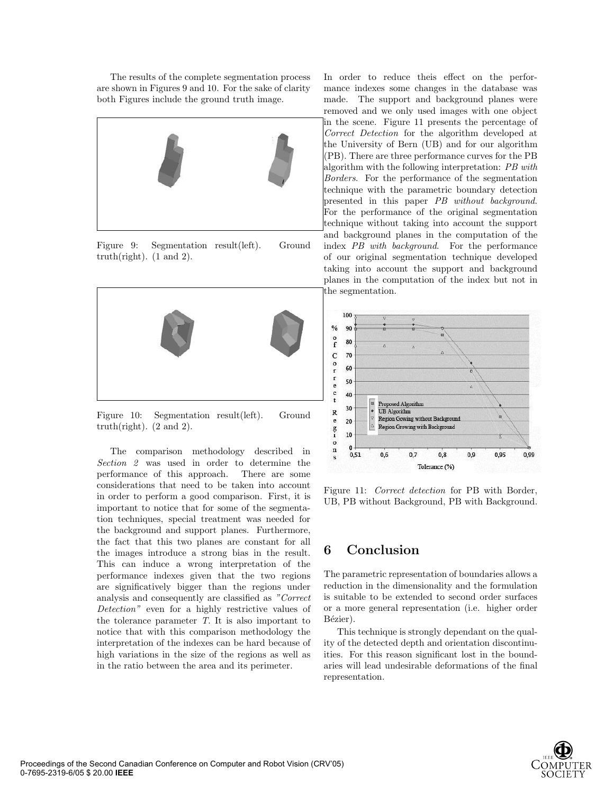The results of the complete segmentation process are shown in Figures 9 and 10. For the sake of clarity both Figures include the ground truth image.



Figure 9: Segmentation result(left). Ground truth(right).  $(1 \text{ and } 2)$ .



Figure 10: Segmentation result(left). Ground truth(right).  $(2 \text{ and } 2)$ .

The comparison methodology described in Section 2 was used in order to determine the performance of this approach. There are some considerations that need to be taken into account in order to perform a good comparison. First, it is important to notice that for some of the segmentation techniques, special treatment was needed for the background and support planes. Furthermore, the fact that this two planes are constant for all the images introduce a strong bias in the result. This can induce a wrong interpretation of the performance indexes given that the two regions are significatively bigger than the regions under analysis and consequently are classified as "Correct Detection" even for a highly restrictive values of the tolerance parameter  $T$ . It is also important to notice that with this comparison methodology the interpretation of the indexes can be hard because of high variations in the size of the regions as well as in the ratio between the area and its perimeter.

In order to reduce theis effect on the performance indexes some changes in the database was made. The support and background planes were removed and we only used images with one object

in the scene. Figure 11 presents the percentage of Correct Detection for the algorithm developed at the University of Bern (UB) and for our algorithm (PB). There are three performance curves for the PB algorithm with the following interpretation: PB with Borders. For the performance of the segmentation technique with the parametric boundary detection presented in this paper PB without background. For the performance of the original segmentation technique without taking into account the support and background planes in the computation of the index PB with background. For the performance of our original segmentation technique developed taking into account the support and background planes in the computation of the index but not in the segmentation.



Figure 11: Correct detection for PB with Border, UB, PB without Background, PB with Background.

## **6 Conclusion**

The parametric representation of boundaries allows a reduction in the dimensionality and the formulation is suitable to be extended to second order surfaces or a more general representation (i.e. higher order Bézier).

This technique is strongly dependant on the quality of the detected depth and orientation discontinuities. For this reason significant lost in the boundaries will lead undesirable deformations of the final representation.